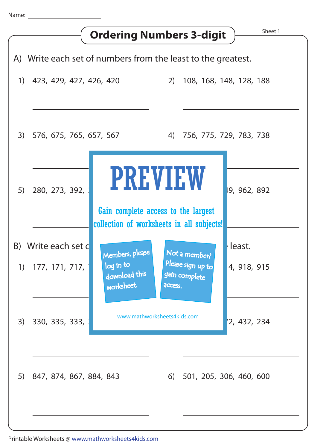